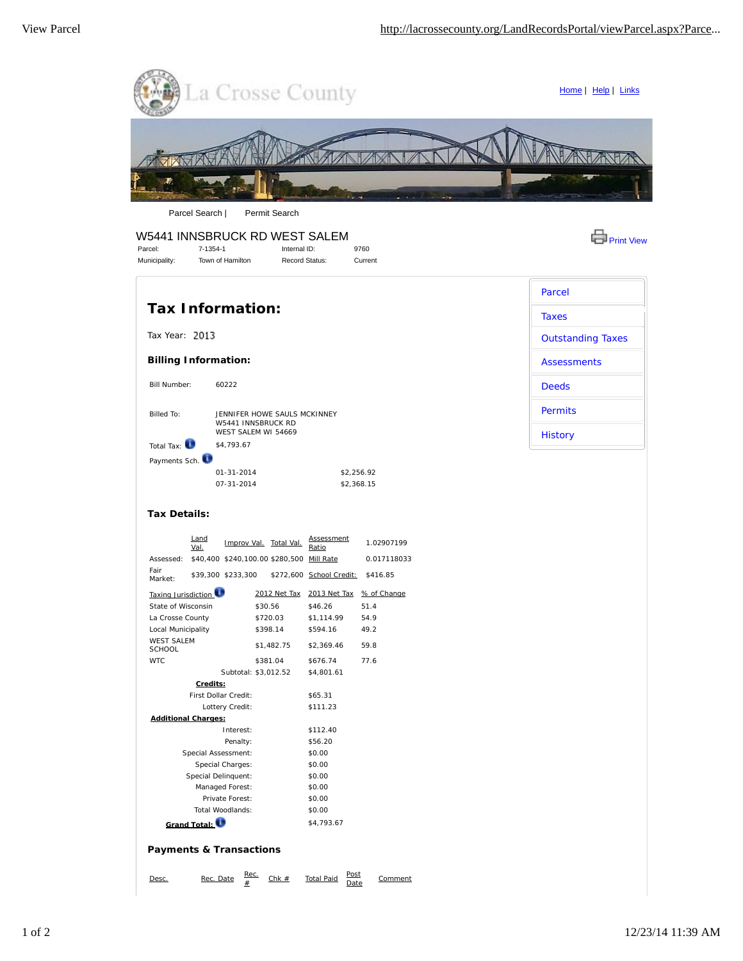